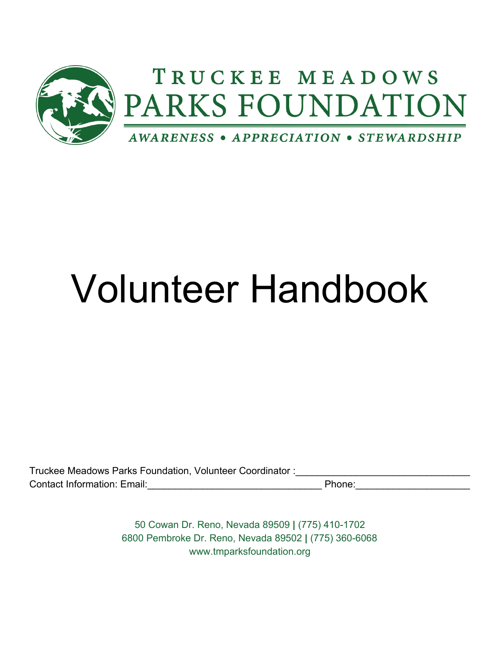

# Volunteer Handbook

| Truckee Meadows Parks Foundation, Volunteer Coordinator: |        |  |
|----------------------------------------------------------|--------|--|
| <b>Contact Information: Email:</b>                       | Phone: |  |

50 Cowan Dr. Reno, Nevada 89509 **|** (775) 410-1702 6800 Pembroke Dr. Reno, Nevada 89502 **|** (775) 360-6068 www.tmparksfoundation.org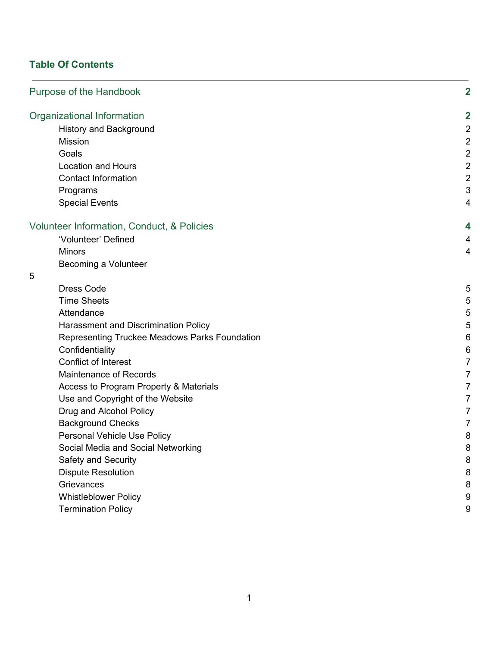# **Table Of Contents**

| Purpose of the Handbook                       | $\mathbf 2$    |
|-----------------------------------------------|----------------|
| Organizational Information                    | $\mathbf 2$    |
| History and Background                        | $\overline{2}$ |
| <b>Mission</b>                                | $\overline{c}$ |
| Goals                                         | $\mathbf 2$    |
| <b>Location and Hours</b>                     | $\mathbf 2$    |
| <b>Contact Information</b>                    | $\overline{2}$ |
| Programs                                      | $\sqrt{3}$     |
| <b>Special Events</b>                         | $\overline{4}$ |
| Volunteer Information, Conduct, & Policies    | 4              |
| 'Volunteer' Defined                           | 4              |
| <b>Minors</b>                                 | $\overline{4}$ |
| Becoming a Volunteer                          |                |
| 5                                             |                |
| <b>Dress Code</b>                             | 5              |
| <b>Time Sheets</b>                            | 5              |
| Attendance                                    | 5              |
| Harassment and Discrimination Policy          | 5              |
| Representing Truckee Meadows Parks Foundation | $\,6$          |
| Confidentiality                               | $\,6$          |
| Conflict of Interest                          | $\overline{7}$ |
| Maintenance of Records                        | $\overline{7}$ |
| Access to Program Property & Materials        | $\overline{7}$ |
| Use and Copyright of the Website              | $\overline{7}$ |
| Drug and Alcohol Policy                       | $\overline{7}$ |
| <b>Background Checks</b>                      | $\overline{7}$ |
| Personal Vehicle Use Policy                   | 8              |
| Social Media and Social Networking            | 8              |
| Safety and Security                           | 8              |
| <b>Dispute Resolution</b>                     | 8              |
| Grievances                                    | 8              |
| <b>Whistleblower Policy</b>                   | 9              |
| <b>Termination Policy</b>                     | 9              |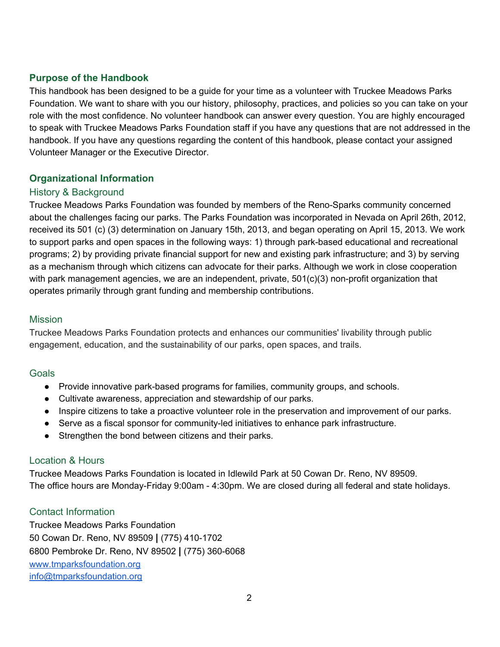# **Purpose of the Handbook**

This handbook has been designed to be a guide for your time as a volunteer with Truckee Meadows Parks Foundation. We want to share with you our history, philosophy, practices, and policies so you can take on your role with the most confidence. No volunteer handbook can answer every question. You are highly encouraged to speak with Truckee Meadows Parks Foundation staff if you have any questions that are not addressed in the handbook. If you have any questions regarding the content of this handbook, please contact your assigned Volunteer Manager or the Executive Director.

# **Organizational Information**

# History & Background

Truckee Meadows Parks Foundation was founded by members of the Reno-Sparks community concerned about the challenges facing our parks. The Parks Foundation was incorporated in Nevada on April 26th, 2012, received its 501 (c) (3) determination on January 15th, 2013, and began operating on April 15, 2013. We work to support parks and open spaces in the following ways: 1) through park-based educational and recreational programs; 2) by providing private financial support for new and existing park infrastructure; and 3) by serving as a mechanism through which citizens can advocate for their parks. Although we work in close cooperation with park management agencies, we are an independent, private, 501(c)(3) non-profit organization that operates primarily through grant funding and membership contributions.

## **Mission**

Truckee Meadows Parks Foundation protects and enhances our communities' livability through public engagement, education, and the sustainability of our parks, open spaces, and trails.

## Goals

- Provide innovative park-based programs for families, community groups, and schools.
- Cultivate awareness, appreciation and stewardship of our parks.
- Inspire citizens to take a proactive volunteer role in the preservation and improvement of our parks.
- Serve as a fiscal sponsor for community-led initiatives to enhance park infrastructure.
- Strengthen the bond between citizens and their parks.

## Location & Hours

Truckee Meadows Parks Foundation is located in Idlewild Park at 50 Cowan Dr. Reno, NV 89509. The office hours are Monday-Friday 9:00am - 4:30pm. We are closed during all federal and state holidays.

## Contact Information

Truckee Meadows Parks Foundation 50 Cowan Dr. Reno, NV 89509 **|** (775) 410-1702 6800 Pembroke Dr. Reno, NV 89502 **|** (775) 360-6068 [www.tmparksfoundation.org](http://www.tmparksfoundation.org/) [info@tmparksfoundation.org](mailto:info@tmparksfoundation.org)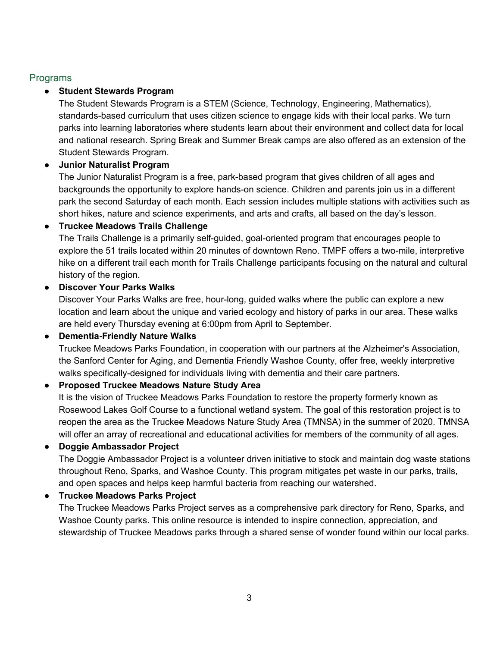# Programs

# **Student Stewards Program**

The Student Stewards Program is a STEM (Science, Technology, Engineering, Mathematics), standards-based curriculum that uses citizen science to engage kids with their local parks. We turn parks into learning laboratories where students learn about their environment and collect data for local and national research. Spring Break and Summer Break camps are also offered as an extension of the Student Stewards Program.

# **● Junior Naturalist Program**

The Junior Naturalist Program is a free, park-based program that gives children of all ages and backgrounds the opportunity to explore hands-on science. Children and parents join us in a different park the second Saturday of each month. Each session includes multiple stations with activities such as short hikes, nature and science experiments, and arts and crafts, all based on the day's lesson.

## **● Truckee Meadows Trails Challenge**

The Trails Challenge is a primarily self-guided, goal-oriented program that encourages people to explore the 51 trails located within 20 minutes of downtown Reno. TMPF offers a two-mile, interpretive hike on a different trail each month for Trails Challenge participants focusing on the natural and cultural history of the region.

# **● Discover Your Parks Walks**

Discover Your Parks Walks are free, hour-long, guided walks where the public can explore a new location and learn about the unique and varied ecology and history of parks in our area. These walks are held every Thursday evening at 6:00pm from April to September.

## **● Dementia-Friendly Nature Walks**

Truckee Meadows Parks Foundation, in cooperation with our partners at the Alzheimer's Association, the Sanford Center for Aging, and Dementia Friendly Washoe County, offer free, weekly interpretive walks specifically-designed for individuals living with dementia and their care partners.

# ● **Proposed Truckee Meadows Nature Study Area**

It is the vision of Truckee Meadows Parks Foundation to restore the property formerly known as Rosewood Lakes Golf Course to a functional wetland system. The goal of this restoration project is to reopen the area as the Truckee Meadows Nature Study Area (TMNSA) in the summer of 2020. TMNSA will offer an array of recreational and educational activities for members of the community of all ages.

## **● Doggie Ambassador Project**

The Doggie Ambassador Project is a volunteer driven initiative to stock and maintain dog waste stations throughout Reno, Sparks, and Washoe County. This program mitigates pet waste in our parks, trails, and open spaces and helps keep harmful bacteria from reaching our watershed.

# **● Truckee Meadows Parks Project**

The Truckee Meadows Parks Project serves as a comprehensive park directory for Reno, Sparks, and Washoe County parks. This online resource is intended to inspire connection, appreciation, and stewardship of Truckee Meadows parks through a shared sense of wonder found within our local parks.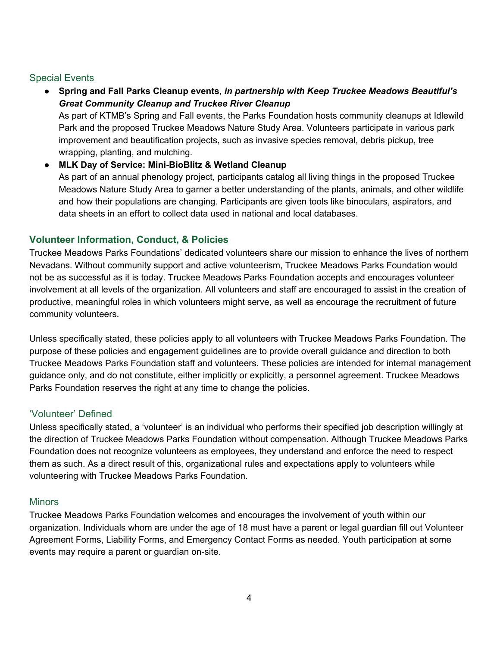# Special Events

● **Spring and Fall Parks Cleanup events,** *in partnership with Keep Truckee Meadows Beautiful's Great Community Cleanup and Truckee River Cleanup* As part of KTMB's Spring and Fall events, the Parks Foundation hosts community cleanups at Idlewild Park and the proposed Truckee Meadows Nature Study Area. Volunteers participate in various park improvement and beautification projects, such as invasive species removal, debris pickup, tree wrapping, planting, and mulching.

● **MLK Day of Service: Mini-BioBlitz & Wetland Cleanup** As part of an annual phenology project, participants catalog all living things in the proposed Truckee Meadows Nature Study Area to garner a better understanding of the plants, animals, and other wildlife and how their populations are changing. Participants are given tools like binoculars, aspirators, and data sheets in an effort to collect data used in national and local databases.

# **Volunteer Information, Conduct, & Policies**

Truckee Meadows Parks Foundations' dedicated volunteers share our mission to enhance the lives of northern Nevadans. Without community support and active volunteerism, Truckee Meadows Parks Foundation would not be as successful as it is today. Truckee Meadows Parks Foundation accepts and encourages volunteer involvement at all levels of the organization. All volunteers and staff are encouraged to assist in the creation of productive, meaningful roles in which volunteers might serve, as well as encourage the recruitment of future community volunteers.

Unless specifically stated, these policies apply to all volunteers with Truckee Meadows Parks Foundation. The purpose of these policies and engagement guidelines are to provide overall guidance and direction to both Truckee Meadows Parks Foundation staff and volunteers. These policies are intended for internal management guidance only, and do not constitute, either implicitly or explicitly, a personnel agreement. Truckee Meadows Parks Foundation reserves the right at any time to change the policies.

# 'Volunteer' Defined

Unless specifically stated, a 'volunteer' is an individual who performs their specified job description willingly at the direction of Truckee Meadows Parks Foundation without compensation. Although Truckee Meadows Parks Foundation does not recognize volunteers as employees, they understand and enforce the need to respect them as such. As a direct result of this, organizational rules and expectations apply to volunteers while volunteering with Truckee Meadows Parks Foundation.

# **Minors**

Truckee Meadows Parks Foundation welcomes and encourages the involvement of youth within our organization. Individuals whom are under the age of 18 must have a parent or legal guardian fill out Volunteer Agreement Forms, Liability Forms, and Emergency Contact Forms as needed. Youth participation at some events may require a parent or guardian on-site.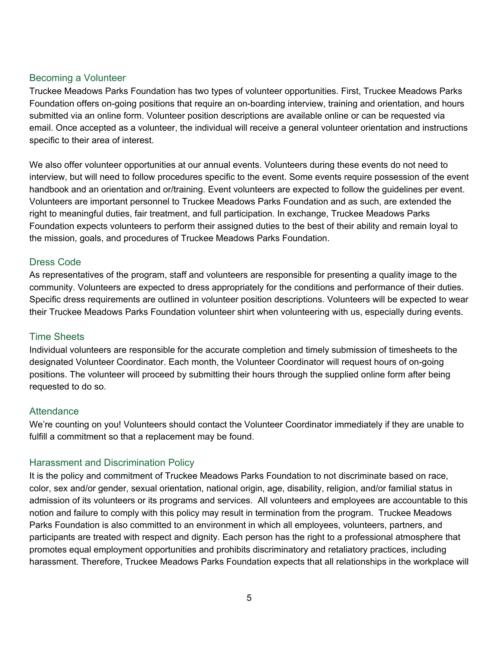### Becoming a Volunteer

Truckee Meadows Parks Foundation has two types of volunteer opportunities. First, Truckee Meadows Parks Foundation offers on-going positions that require an on-boarding interview, training and orientation, and hours submitted via an online form. Volunteer position descriptions are available online or can be requested via email. Once accepted as a volunteer, the individual will receive a general volunteer orientation and instructions specific to their area of interest.

We also offer volunteer opportunities at our annual events. Volunteers during these events do not need to interview, but will need to follow procedures specific to the event. Some events require possession of the event handbook and an orientation and or/training. Event volunteers are expected to follow the guidelines per event. Volunteers are important personnel to Truckee Meadows Parks Foundation and as such, are extended the right to meaningful duties, fair treatment, and full participation. In exchange, Truckee Meadows Parks Foundation expects volunteers to perform their assigned duties to the best of their ability and remain loyal to the mission, goals, and procedures of Truckee Meadows Parks Foundation.

## Dress Code

As representatives of the program, staff and volunteers are responsible for presenting a quality image to the community. Volunteers are expected to dress appropriately for the conditions and performance of their duties. Specific dress requirements are outlined in volunteer position descriptions. Volunteers will be expected to wear their Truckee Meadows Parks Foundation volunteer shirt when volunteering with us, especially during events.

#### Time Sheets

Individual volunteers are responsible for the accurate completion and timely submission of timesheets to the designated Volunteer Coordinator. Each month, the Volunteer Coordinator will request hours of on-going positions. The volunteer will proceed by submitting their hours through the supplied online form after being requested to do so.

#### **Attendance**

We're counting on you! Volunteers should contact the Volunteer Coordinator immediately if they are unable to fulfill a commitment so that a replacement may be found.

## Harassment and Discrimination Policy

It is the policy and commitment of Truckee Meadows Parks Foundation to not discriminate based on race, color, sex and/or gender, sexual orientation, national origin, age, disability, religion, and/or familial status in admission of its volunteers or its programs and services. All volunteers and employees are accountable to this notion and failure to comply with this policy may result in termination from the program. Truckee Meadows Parks Foundation is also committed to an environment in which all employees, volunteers, partners, and participants are treated with respect and dignity. Each person has the right to a professional atmosphere that promotes equal employment opportunities and prohibits discriminatory and retaliatory practices, including harassment. Therefore, Truckee Meadows Parks Foundation expects that all relationships in the workplace will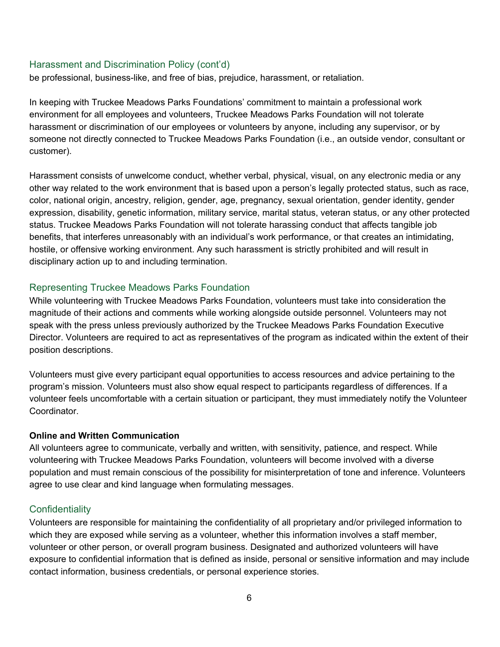#### Harassment and Discrimination Policy (cont'd)

be professional, business-like, and free of bias, prejudice, harassment, or retaliation.

In keeping with Truckee Meadows Parks Foundations' commitment to maintain a professional work environment for all employees and volunteers, Truckee Meadows Parks Foundation will not tolerate harassment or discrimination of our employees or volunteers by anyone, including any supervisor, or by someone not directly connected to Truckee Meadows Parks Foundation (i.e., an outside vendor, consultant or customer).

Harassment consists of unwelcome conduct, whether verbal, physical, visual, on any electronic media or any other way related to the work environment that is based upon a person's legally protected status, such as race, color, national origin, ancestry, religion, gender, age, pregnancy, sexual orientation, gender identity, gender expression, disability, genetic information, military service, marital status, veteran status, or any other protected status. Truckee Meadows Parks Foundation will not tolerate harassing conduct that affects tangible job benefits, that interferes unreasonably with an individual's work performance, or that creates an intimidating, hostile, or offensive working environment. Any such harassment is strictly prohibited and will result in disciplinary action up to and including termination.

## Representing Truckee Meadows Parks Foundation

While volunteering with Truckee Meadows Parks Foundation, volunteers must take into consideration the magnitude of their actions and comments while working alongside outside personnel. Volunteers may not speak with the press unless previously authorized by the Truckee Meadows Parks Foundation Executive Director. Volunteers are required to act as representatives of the program as indicated within the extent of their position descriptions.

Volunteers must give every participant equal opportunities to access resources and advice pertaining to the program's mission. Volunteers must also show equal respect to participants regardless of differences. If a volunteer feels uncomfortable with a certain situation or participant, they must immediately notify the Volunteer **Coordinator** 

#### **Online and Written Communication**

All volunteers agree to communicate, verbally and written, with sensitivity, patience, and respect. While volunteering with Truckee Meadows Parks Foundation, volunteers will become involved with a diverse population and must remain conscious of the possibility for misinterpretation of tone and inference. Volunteers agree to use clear and kind language when formulating messages.

# **Confidentiality**

Volunteers are responsible for maintaining the confidentiality of all proprietary and/or privileged information to which they are exposed while serving as a volunteer, whether this information involves a staff member, volunteer or other person, or overall program business. Designated and authorized volunteers will have exposure to confidential information that is defined as inside, personal or sensitive information and may include contact information, business credentials, or personal experience stories.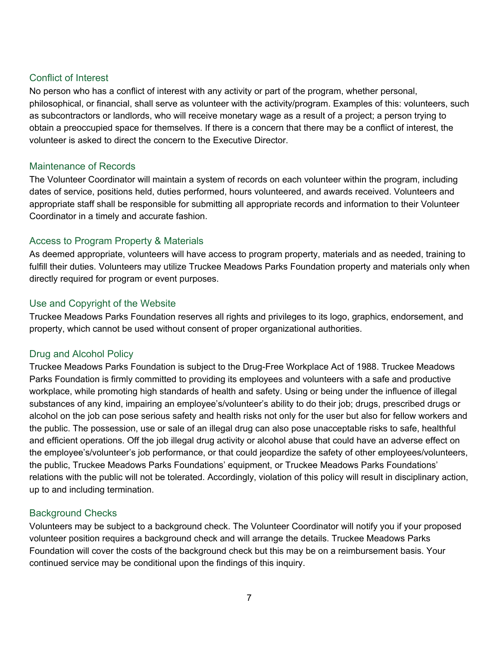## Conflict of Interest

No person who has a conflict of interest with any activity or part of the program, whether personal, philosophical, or financial, shall serve as volunteer with the activity/program. Examples of this: volunteers, such as subcontractors or landlords, who will receive monetary wage as a result of a project; a person trying to obtain a preoccupied space for themselves. If there is a concern that there may be a conflict of interest, the volunteer is asked to direct the concern to the Executive Director.

## Maintenance of Records

The Volunteer Coordinator will maintain a system of records on each volunteer within the program, including dates of service, positions held, duties performed, hours volunteered, and awards received. Volunteers and appropriate staff shall be responsible for submitting all appropriate records and information to their Volunteer Coordinator in a timely and accurate fashion.

# Access to Program Property & Materials

As deemed appropriate, volunteers will have access to program property, materials and as needed, training to fulfill their duties. Volunteers may utilize Truckee Meadows Parks Foundation property and materials only when directly required for program or event purposes.

# Use and Copyright of the Website

Truckee Meadows Parks Foundation reserves all rights and privileges to its logo, graphics, endorsement, and property, which cannot be used without consent of proper organizational authorities.

# Drug and Alcohol Policy

Truckee Meadows Parks Foundation is subject to the Drug-Free Workplace Act of 1988. Truckee Meadows Parks Foundation is firmly committed to providing its employees and volunteers with a safe and productive workplace, while promoting high standards of health and safety. Using or being under the influence of illegal substances of any kind, impairing an employee's/volunteer's ability to do their job; drugs, prescribed drugs or alcohol on the job can pose serious safety and health risks not only for the user but also for fellow workers and the public. The possession, use or sale of an illegal drug can also pose unacceptable risks to safe, healthful and efficient operations. Off the job illegal drug activity or alcohol abuse that could have an adverse effect on the employee's/volunteer's job performance, or that could jeopardize the safety of other employees/volunteers, the public, Truckee Meadows Parks Foundations' equipment, or Truckee Meadows Parks Foundations' relations with the public will not be tolerated. Accordingly, violation of this policy will result in disciplinary action, up to and including termination.

# Background Checks

Volunteers may be subject to a background check. The Volunteer Coordinator will notify you if your proposed volunteer position requires a background check and will arrange the details. Truckee Meadows Parks Foundation will cover the costs of the background check but this may be on a reimbursement basis. Your continued service may be conditional upon the findings of this inquiry.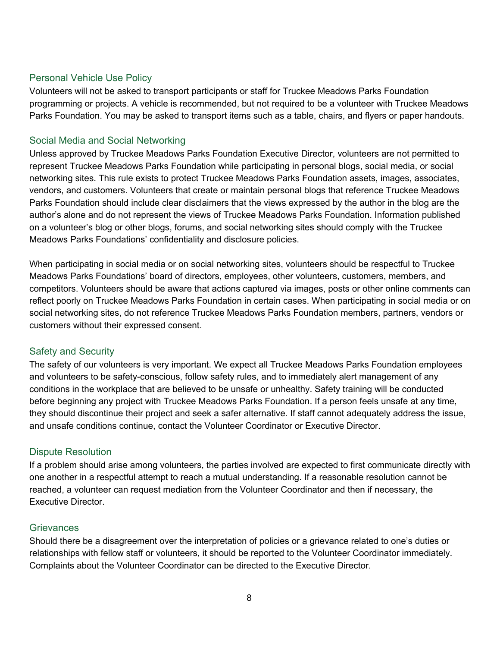## Personal Vehicle Use Policy

Volunteers will not be asked to transport participants or staff for Truckee Meadows Parks Foundation programming or projects. A vehicle is recommended, but not required to be a volunteer with Truckee Meadows Parks Foundation. You may be asked to transport items such as a table, chairs, and flyers or paper handouts.

# Social Media and Social Networking

Unless approved by Truckee Meadows Parks Foundation Executive Director, volunteers are not permitted to represent Truckee Meadows Parks Foundation while participating in personal blogs, social media, or social networking sites. This rule exists to protect Truckee Meadows Parks Foundation assets, images, associates, vendors, and customers. Volunteers that create or maintain personal blogs that reference Truckee Meadows Parks Foundation should include clear disclaimers that the views expressed by the author in the blog are the author's alone and do not represent the views of Truckee Meadows Parks Foundation. Information published on a volunteer's blog or other blogs, forums, and social networking sites should comply with the Truckee Meadows Parks Foundations' confidentiality and disclosure policies.

When participating in social media or on social networking sites, volunteers should be respectful to Truckee Meadows Parks Foundations' board of directors, employees, other volunteers, customers, members, and competitors. Volunteers should be aware that actions captured via images, posts or other online comments can reflect poorly on Truckee Meadows Parks Foundation in certain cases. When participating in social media or on social networking sites, do not reference Truckee Meadows Parks Foundation members, partners, vendors or customers without their expressed consent.

## Safety and Security

The safety of our volunteers is very important. We expect all Truckee Meadows Parks Foundation employees and volunteers to be safety-conscious, follow safety rules, and to immediately alert management of any conditions in the workplace that are believed to be unsafe or unhealthy. Safety training will be conducted before beginning any project with Truckee Meadows Parks Foundation. If a person feels unsafe at any time, they should discontinue their project and seek a safer alternative. If staff cannot adequately address the issue, and unsafe conditions continue, contact the Volunteer Coordinator or Executive Director.

## Dispute Resolution

If a problem should arise among volunteers, the parties involved are expected to first communicate directly with one another in a respectful attempt to reach a mutual understanding. If a reasonable resolution cannot be reached, a volunteer can request mediation from the Volunteer Coordinator and then if necessary, the Executive Director.

## **Grievances**

Should there be a disagreement over the interpretation of policies or a grievance related to one's duties or relationships with fellow staff or volunteers, it should be reported to the Volunteer Coordinator immediately. Complaints about the Volunteer Coordinator can be directed to the Executive Director.